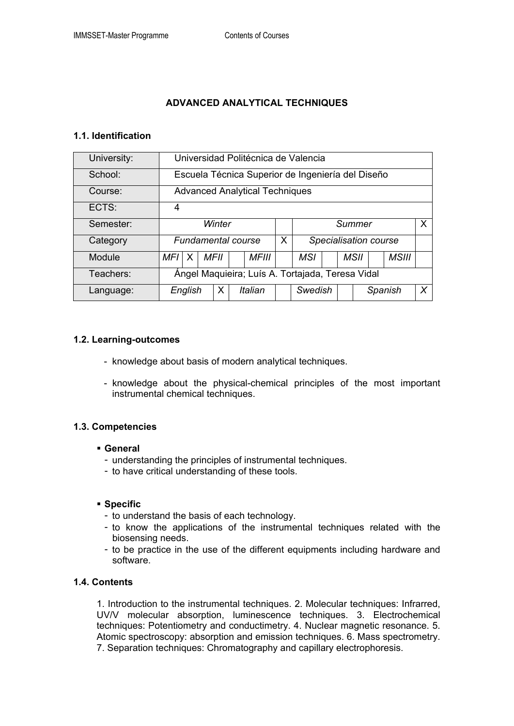# **ADVANCED ANALYTICAL TECHNIQUES**

## **1.1. Identification**

| University: | Universidad Politécnica de Valencia               |   |  |      |  |         |   |                       |  |  |      |         |              |   |  |
|-------------|---------------------------------------------------|---|--|------|--|---------|---|-----------------------|--|--|------|---------|--------------|---|--|
| School:     | Escuela Técnica Superior de Ingeniería del Diseño |   |  |      |  |         |   |                       |  |  |      |         |              |   |  |
| Course:     | <b>Advanced Analytical Techniques</b>             |   |  |      |  |         |   |                       |  |  |      |         |              |   |  |
| ECTS:       | 4                                                 |   |  |      |  |         |   |                       |  |  |      |         |              |   |  |
| Semester:   | Winter                                            |   |  |      |  |         |   | X<br>Summer           |  |  |      |         |              |   |  |
| Category    | <b>Fundamental course</b>                         |   |  |      |  |         | X | Specialisation course |  |  |      |         |              |   |  |
| Module      | MFI                                               | X |  | MFII |  | MFIII   |   | MSI                   |  |  | MSII |         | <b>MSIII</b> |   |  |
| Teachers:   | Ángel Maquieira; Luís A. Tortajada, Teresa Vidal  |   |  |      |  |         |   |                       |  |  |      |         |              |   |  |
| Language:   | English                                           |   |  | Х    |  | Italian |   | Swedish               |  |  |      | Spanish |              | X |  |

## **1.2. Learning-outcomes**

- knowledge about basis of modern analytical techniques.
- knowledge about the physical-chemical principles of the most important instrumental chemical techniques.

## **1.3. Competencies**

- **General** 
	- understanding the principles of instrumental techniques.
	- to have critical understanding of these tools.

## **Specific**

- to understand the basis of each technology.
- to know the applications of the instrumental techniques related with the biosensing needs.
- to be practice in the use of the different equipments including hardware and software.

## **1.4. Contents**

1. Introduction to the instrumental techniques. 2. Molecular techniques: Infrarred, UV/V molecular absorption, luminescence techniques. 3. Electrochemical techniques: Potentiometry and conductimetry. 4. Nuclear magnetic resonance. 5. Atomic spectroscopy: absorption and emission techniques. 6. Mass spectrometry. 7. Separation techniques: Chromatography and capillary electrophoresis.